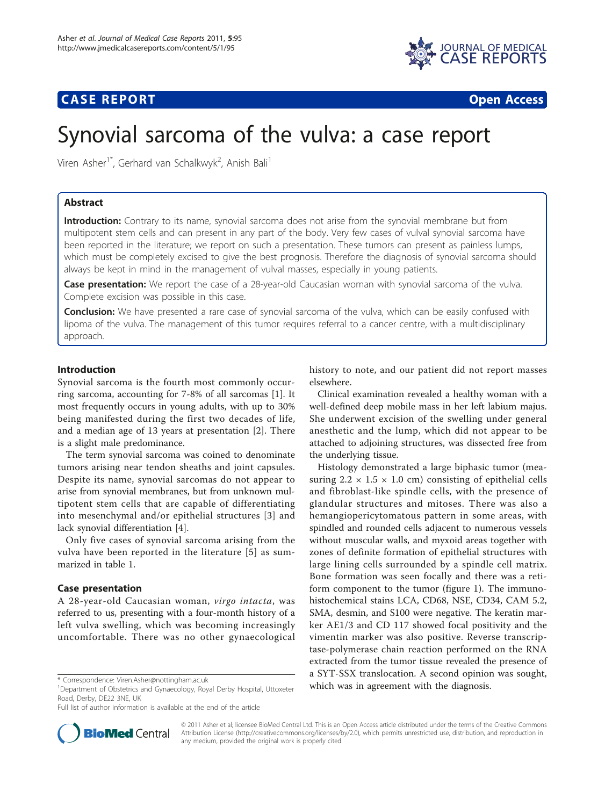

## **CASE REPORT CASE REPORT CASE REPORT**

# Synovial sarcoma of the vulva: a case report

Viren Asher<sup>1\*</sup>, Gerhard van Schalkwyk<sup>2</sup>, Anish Bali<sup>1</sup>

## Abstract

Introduction: Contrary to its name, synovial sarcoma does not arise from the synovial membrane but from multipotent stem cells and can present in any part of the body. Very few cases of vulval synovial sarcoma have been reported in the literature; we report on such a presentation. These tumors can present as painless lumps, which must be completely excised to give the best prognosis. Therefore the diagnosis of synovial sarcoma should always be kept in mind in the management of vulval masses, especially in young patients.

Case presentation: We report the case of a 28-year-old Caucasian woman with synovial sarcoma of the vulva. Complete excision was possible in this case.

**Conclusion:** We have presented a rare case of synovial sarcoma of the vulva, which can be easily confused with lipoma of the vulva. The management of this tumor requires referral to a cancer centre, with a multidisciplinary approach.

## Introduction

Synovial sarcoma is the fourth most commonly occurring sarcoma, accounting for 7-8% of all sarcomas [[1](#page-2-0)]. It most frequently occurs in young adults, with up to 30% being manifested during the first two decades of life, and a median age of 13 years at presentation [\[2](#page-2-0)]. There is a slight male predominance.

The term synovial sarcoma was coined to denominate tumors arising near tendon sheaths and joint capsules. Despite its name, synovial sarcomas do not appear to arise from synovial membranes, but from unknown multipotent stem cells that are capable of differentiating into mesenchymal and/or epithelial structures [[3](#page-2-0)] and lack synovial differentiation [[4\]](#page-2-0).

Only five cases of synovial sarcoma arising from the vulva have been reported in the literature [[5](#page-2-0)] as summarized in table [1](#page-1-0).

#### Case presentation

A 28-year-old Caucasian woman, virgo intacta, was referred to us, presenting with a four-month history of a left vulva swelling, which was becoming increasingly uncomfortable. There was no other gynaecological

Full list of author information is available at the end of the article



history to note, and our patient did not report masses elsewhere.

Clinical examination revealed a healthy woman with a well-defined deep mobile mass in her left labium majus. She underwent excision of the swelling under general anesthetic and the lump, which did not appear to be attached to adjoining structures, was dissected free from the underlying tissue.

Histology demonstrated a large biphasic tumor (measuring  $2.2 \times 1.5 \times 1.0$  cm) consisting of epithelial cells and fibroblast-like spindle cells, with the presence of glandular structures and mitoses. There was also a hemangiopericytomatous pattern in some areas, with spindled and rounded cells adjacent to numerous vessels without muscular walls, and myxoid areas together with zones of definite formation of epithelial structures with large lining cells surrounded by a spindle cell matrix. Bone formation was seen focally and there was a retiform component to the tumor (figure [1](#page-1-0)). The immunohistochemical stains LCA, CD68, NSE, CD34, CAM 5.2, SMA, desmin, and S100 were negative. The keratin marker AE1/3 and CD 117 showed focal positivity and the vimentin marker was also positive. Reverse transcriptase-polymerase chain reaction performed on the RNA extracted from the tumor tissue revealed the presence of a SYT-SSX translocation. A second opinion was sought, \* Correspondence: [Viren.Asher@nottingham.ac.uk](mailto:Viren.Asher@nottingham.ac.uk)<br><sup>1</sup>Department of Obstetrics and Gynaecology Royal Derby Hospital Uttoxeter **which was in agreement with the diagnosis.** 

> © 2011 Asher et al; licensee BioMed Central Ltd. This is an Open Access article distributed under the terms of the Creative Commons Attribution License [\(http://creativecommons.org/licenses/by/2.0](http://creativecommons.org/licenses/by/2.0)), which permits unrestricted use, distribution, and reproduction in any medium, provided the original work is properly cited.

<sup>&</sup>lt;sup>1</sup>Department of Obstetrics and Gynaecology, Royal Derby Hospital, Uttoxeter Road, Derby, DE22 3NE, UK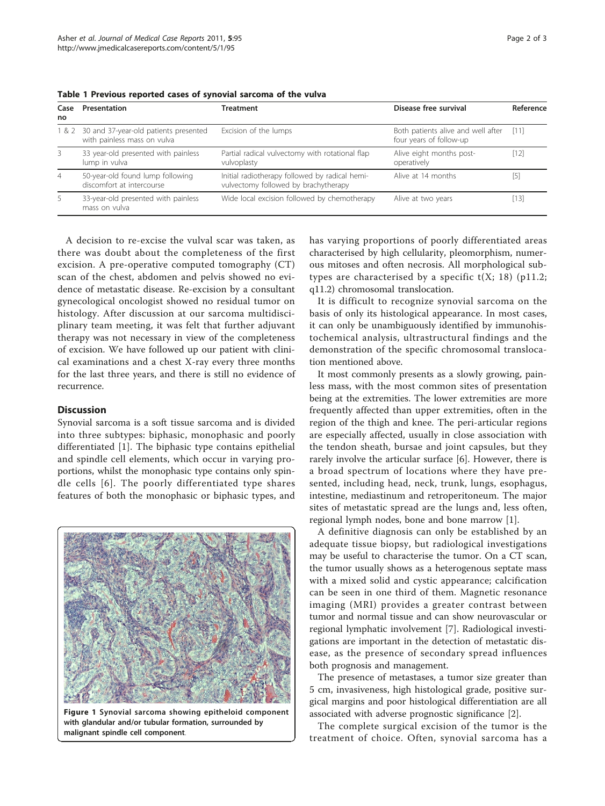| Case<br>no     | Presentation                                                         | Treatment                                                                              | Disease free survival                                         | Reference |
|----------------|----------------------------------------------------------------------|----------------------------------------------------------------------------------------|---------------------------------------------------------------|-----------|
| 1&2            | 30 and 37-year-old patients presented<br>with painless mass on vulva | Excision of the lumps                                                                  | Both patients alive and well after<br>four years of follow-up | [11]      |
| 3              | 33 year-old presented with painless<br>lump in vulva                 | Partial radical vulvectomy with rotational flap<br>vulvoplasty                         | Alive eight months post-<br>operatively                       | [12]      |
| $\overline{4}$ | 50-year-old found lump following<br>discomfort at intercourse        | Initial radiotherapy followed by radical hemi-<br>vulvectomy followed by brachytherapy | Alive at 14 months                                            | $^{[5]}$  |
| 5.             | 33-year-old presented with painless<br>mass on vulva                 | Wide local excision followed by chemotherapy                                           | Alive at two years                                            | [13]      |

<span id="page-1-0"></span>Table 1 Previous reported cases of synovial sarcoma of the vulva

A decision to re-excise the vulval scar was taken, as there was doubt about the completeness of the first excision. A pre-operative computed tomography (CT) scan of the chest, abdomen and pelvis showed no evidence of metastatic disease. Re-excision by a consultant gynecological oncologist showed no residual tumor on histology. After discussion at our sarcoma multidisciplinary team meeting, it was felt that further adjuvant therapy was not necessary in view of the completeness of excision. We have followed up our patient with clinical examinations and a chest X-ray every three months for the last three years, and there is still no evidence of recurrence.

#### **Discussion**

Synovial sarcoma is a soft tissue sarcoma and is divided into three subtypes: biphasic, monophasic and poorly differentiated [[1\]](#page-2-0). The biphasic type contains epithelial and spindle cell elements, which occur in varying proportions, whilst the monophasic type contains only spindle cells [[6](#page-2-0)]. The poorly differentiated type shares features of both the monophasic or biphasic types, and



Figure 1 Synovial sarcoma showing epitheloid component with glandular and/or tubular formation, surrounded by malignant spindle cell component.

has varying proportions of poorly differentiated areas characterised by high cellularity, pleomorphism, numerous mitoses and often necrosis. All morphological subtypes are characterised by a specific  $t(X; 18)$  (p11.2; q11.2) chromosomal translocation.

It is difficult to recognize synovial sarcoma on the basis of only its histological appearance. In most cases, it can only be unambiguously identified by immunohistochemical analysis, ultrastructural findings and the demonstration of the specific chromosomal translocation mentioned above.

It most commonly presents as a slowly growing, painless mass, with the most common sites of presentation being at the extremities. The lower extremities are more frequently affected than upper extremities, often in the region of the thigh and knee. The peri-articular regions are especially affected, usually in close association with the tendon sheath, bursae and joint capsules, but they rarely involve the articular surface [[6](#page-2-0)]. However, there is a broad spectrum of locations where they have presented, including head, neck, trunk, lungs, esophagus, intestine, mediastinum and retroperitoneum. The major sites of metastatic spread are the lungs and, less often, regional lymph nodes, bone and bone marrow [\[1](#page-2-0)].

A definitive diagnosis can only be established by an adequate tissue biopsy, but radiological investigations may be useful to characterise the tumor. On a CT scan, the tumor usually shows as a heterogenous septate mass with a mixed solid and cystic appearance; calcification can be seen in one third of them. Magnetic resonance imaging (MRI) provides a greater contrast between tumor and normal tissue and can show neurovascular or regional lymphatic involvement [[7\]](#page-2-0). Radiological investigations are important in the detection of metastatic disease, as the presence of secondary spread influences both prognosis and management.

The presence of metastases, a tumor size greater than 5 cm, invasiveness, high histological grade, positive surgical margins and poor histological differentiation are all associated with adverse prognostic significance [\[2](#page-2-0)].

The complete surgical excision of the tumor is the treatment of choice. Often, synovial sarcoma has a